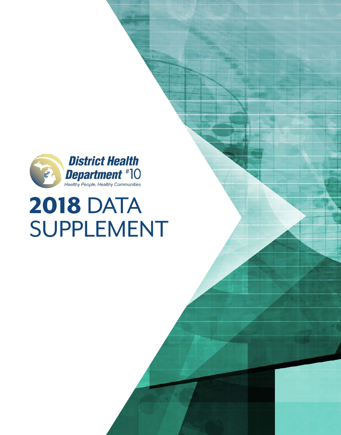

# 2018 DATA SUPPLEMENT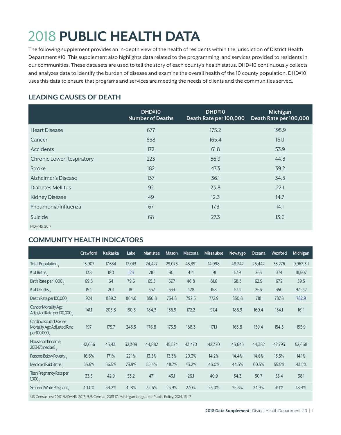## 2018 **PUBLIC HEALTH DATA**

The following supplement provides an in-depth view of the health of residents within the jurisdiction of District Health Department #10. This supplement also highlights data related to the programming and services provided to residents in our communities. These data sets are used to tell the story of each county's health status. DHD#10 continuously collects and analyzes data to identify the burden of disease and examine the overall health of the 10 county population. DHD#10 uses this data to ensure that programs and services are meeting the needs of clients and the communities served.

#### **LEADING CAUSES OF DEATH**

|                                  | <b>DHD#10</b><br><b>Number of Deaths</b> | <b>DHD#10</b><br>Death Rate per 100,000 | Michigan<br>Death Rate per 100,000 |
|----------------------------------|------------------------------------------|-----------------------------------------|------------------------------------|
| <b>Heart Disease</b>             | 677                                      | 175.2                                   | 195.9                              |
| Cancer                           | 658                                      | 165.4                                   | 161.1                              |
| Accidents                        | 172                                      | 61.8                                    | 53.9                               |
| <b>Chronic Lower Respiratory</b> | 223                                      | 56.9                                    | 44.3                               |
| <b>Stroke</b>                    | 182                                      | 47.3                                    | 39.2                               |
| Alzheimer's Disease              | 137                                      | 36.1                                    | 34.5                               |
| Diabetes Mellitus                | 92                                       | 23.8                                    | 22.1                               |
| <b>Kidney Disease</b>            | 49                                       | 12.3                                    | 14.7                               |
| Pneumonia/Influenza              | 67                                       | 17.3                                    | 14.1                               |
| Suicide                          | 68                                       | 27.3                                    | 13.6                               |
| <b>MDHHS, 2017</b>               |                                          |                                         |                                    |

#### **COMMUNITY HEALTH INDICATORS**

|                                                                       | Crawford | <b>Kalkaska</b> | Lake   | <b>Manistee</b> | Mason  | Mecosta | <b>Missaukee</b> | <b>Newaygo</b> | Oceana | Wexford | Michigan  |
|-----------------------------------------------------------------------|----------|-----------------|--------|-----------------|--------|---------|------------------|----------------|--------|---------|-----------|
| Total Population,                                                     | 13,907   | 17,634          | 12,013 | 24,427          | 29,073 | 43,391  | 14,998           | 48,242         | 26,442 | 33,276  | 9,962,311 |
| # of Births,                                                          | 138      | 180             | 123    | 210             | 301    | 414     | 191              | 539            | 263    | 374     | 111,507   |
| Birth Rate per 1,000,                                                 | 69.8     | 64              | 79.6   | 65.5            | 67.7   | 46.8    | 81.6             | 68.3           | 62.9   | 67.2    | 59.5      |
| # of Deaths                                                           | 194      | 201             | 181    | 352             | 333    | 428     | 158              | 534            | 266    | 350     | 97,532    |
| Death Rate per 100,000                                                | 924      | 889.2           | 864.6  | 856.8           | 734.8  | 792.5   | 772.9            | 850.8          | 718    | 787.8   | 782.9     |
| <b>Cancer Mortality Age</b><br>Adjusted Rate per 100,000,             | 141.1    | 205.8           | 180.3  | 184.3           | 136.9  | 172.2   | 97.4             | 186.9          | 160.4  | 154.1   | 161.1     |
| Cardiovascular Disease<br>Mortality Age Adjusted Rate<br>per 100,000, | 197      | 179.7           | 243.5  | 176.8           | 173.5  | 188.3   | 171.1            | 163.8          | 159.4  | 154.5   | 195.9     |
| Household Income,<br>$2013-17$ (median)                               | 42,666   | 43,431          | 32,309 | 44,882          | 45,524 | 43,470  | 42,370           | 45,645         | 44,382 | 42,793  | 52,668    |
| Persons Below Poverty                                                 | 16.6%    | 17.1%           | 22.1%  | 13.5%           | 13.3%  | 20.3%   | 14.2%            | 14.4%          | 14.6%  | 13.5%   | 14.1%     |
| Medicaid Paid Births.                                                 | 65.6%    | 56.5%           | 73.9%  | 55.4%           | 48.7%  | 43.2%   | 46.0%            | 44.3%          | 60.5%  | 55.5%   | 43.5%     |
| Teen Pregnancy Rate per<br>1,000 <sub>5</sub>                         | 33.5     | 42.9            | 53.2   | 47.1            | 43.1   | 26.1    | 40.9             | 34.3           | 50.7   | 55.4    | 38.1      |
| Smoked While Pregnant                                                 | 40.0%    | 34.2%           | 41.8%  | 32.6%           | 23.9%  | 27.0%   | 23.0%            | 25.6%          | 24.9%  | 31.1%   | 18.4%     |

<sup>1</sup>US Census, est 2017; <sup>2</sup>MDHHS, 2017; <sup>4</sup>US Census, 2013-17; <sup>5</sup>Michigan League for Public Policy, 2014, 15, 17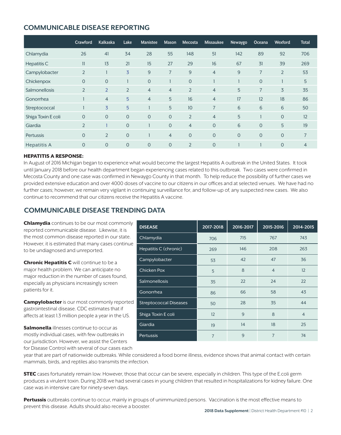#### **COMMUNICABLE DISEASE REPORTING**

|                    | Crawford       | <b>Kalkaska</b>     | Lake           | <b>Manistee</b> | <b>Mason</b>   | Mecosta             | <b>Missaukee</b> | <b>Newaygo</b> | Oceana         | Wexford        | <b>Total</b>   |
|--------------------|----------------|---------------------|----------------|-----------------|----------------|---------------------|------------------|----------------|----------------|----------------|----------------|
| Chlamydia          | 26             | 41                  | 34             | 28              | 55             | 148                 | 51               | 142            | 89             | 92             | 706            |
| Hepatitis C        | 11             | 13                  | 21             | 15              | 27             | 29                  | 16               | 67             | 31             | 39             | 269            |
| Campylobacter      | $\overline{2}$ |                     | 3              | 9               | 7              | $9$                 | $\overline{4}$   | 9              | $\overline{7}$ | $\overline{2}$ | 53             |
| Chickenpox         | $\overline{O}$ | $\overline{O}$      |                | $\overline{O}$  |                | $\mathbf 0$         |                  |                | $\overline{0}$ |                | 5              |
| Salmonellosis      | $\overline{2}$ | $\overline{2}$      | $\overline{2}$ | $\overline{4}$  | $\overline{4}$ | $\overline{2}$      | $\overline{4}$   | 5              | $\overline{7}$ | 3              | 35             |
| Gonorrhea          |                | $\overline{4}$      | 5              | $\overline{4}$  | 5              | 16                  | $\overline{4}$   | 17             | 12             | 18             | 86             |
| Streptococcal      |                | 3                   | 5              |                 | 5              | 10 <sup>°</sup>     | $\overline{7}$   | 6              | 6              | 6              | 50             |
| Shiga Toxin E coli | $\overline{O}$ | $\overline{0}$      | $\overline{O}$ | $\overline{O}$  | $\overline{O}$ | $\overline{2}$      | $\overline{4}$   | 5              |                | $\overline{O}$ | 12             |
| Giardia            | $\overline{2}$ |                     | $\overline{0}$ |                 | $\overline{O}$ | $\overline{4}$      | $\overline{0}$   | 6              | $\overline{O}$ | 5              | 19             |
| <b>Pertussis</b>   | $\Omega$       | $\overline{2}$      | $\overline{0}$ |                 | $\overline{4}$ | $\mathsf{O}\xspace$ | $\overline{0}$   | $\Omega$       | $\overline{O}$ | $\overline{O}$ | $\overline{7}$ |
| Hepatitis A        | $\overline{0}$ | $\mathsf{O}\xspace$ | $\mathbf 0$    | $\mathbf 0$     | $\overline{0}$ | $\overline{2}$      | $\overline{0}$   |                |                | $\mathbf 0$    | $\overline{4}$ |

#### HEPATITIS A RESPONSE:

In August of 2016 Michigan began to experience what would become the largest Hepatitis A outbreak in the United States. It took until January 2018 before our health department began experiencing cases related to this outbreak. Two cases were confirmed in Mecosta County and one case was confirmed in Newaygo County in that month. To help reduce the possibility of further cases we provided extensive education and over 4000 doses of vaccine to our citizens in our offices and at selected venues. We have had no further cases; however, we remain very vigilant in continuing surveillance for, and follow-up of, any suspected new cases. We also continue to recommend that our citizens receive the Hepatitis A vaccine.

#### **COMMUNICABLE DISEASE TRENDING DATA**

**Chlamydia** continues to be our most commonly reported communicable disease. Likewise, it is the most common disease reported in our state. However, it is estimated that many cases continue to be undiagnosed and unreported.

**Chronic Hepatitis C** will continue to be a major health problem. We can anticipate no major reduction in the number of cases found, especially as physicians increasingly screen patients for it.

**Campylobacter** is our most commonly reported gastrointestinal disease. CDC estimates that if affects at least 1.3 million people a year in the US.

**Salmonella** illnesses continue to occur as mostly individual cases, with few outbreaks in our jurisdiction. However, we assist the Centers for Disease Control with several of our cases each

| <b>DISEASE</b>                | 2017-2018      | 2016-2017 | 2015-2016      | 2014-2015      |
|-------------------------------|----------------|-----------|----------------|----------------|
| Chlamydia                     | 706            | 715       | 767            | 743            |
| Hepatitis C (chronic)         | 269            | 146       | 208            | 263            |
| Campylobacter                 | 53             | 42        | 47             | 36             |
| <b>Chicken Pox</b>            | 5              | 8         | $\overline{4}$ | 12             |
| <b>Salmonellosis</b>          | 35             | 22        | 24             | 22             |
| Gonorrhea                     | 86             | 66        | 58             | 43             |
| <b>Streptococcal Diseases</b> | 50             | 28        | 35             | 44             |
| Shiga Toxin E coli            | 12             | 9         | 8              | $\overline{4}$ |
| Giardia                       | 19             | 14        | 18             | 25             |
| Pertussis                     | $\overline{7}$ | 9         | $\overline{7}$ | 74             |

year that are part of nationwide outbreaks. While considered a food borne illness, evidence shows that animal contact with certain mammals, birds, and reptiles also transmits the infection.

**STEC** cases fortunately remain low. However, those that occur can be severe, especially in children. This type of the E.coli germ produces a virulent toxin. During 2018 we had several cases in young children that resulted in hospitalizations for kidney failure. One case was in intensive care for ninety-seven days.

Pertussis outbreaks continue to occur, mainly in groups of unimmunized persons. Vaccination is the most effective means to prevent this disease. Adults should also receive a booster.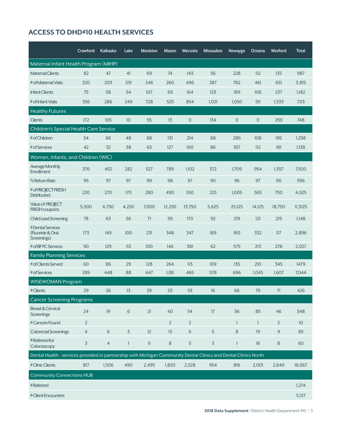#### **ACCESS TO DHD#10 HEALTH SERVICES**

|                                                                                                                  | Crawford       | Kalkaska       | Lake           | <b>Manistee</b> | Mason          | Mecosta        | <b>Missaukee</b> | <b>Newaygo</b> | Oceana         | Wexford        | <b>Total</b> |
|------------------------------------------------------------------------------------------------------------------|----------------|----------------|----------------|-----------------|----------------|----------------|------------------|----------------|----------------|----------------|--------------|
| Maternal Infant Health Program (MIHP)                                                                            |                |                |                |                 |                |                |                  |                |                |                |              |
| <b>Maternal Clients</b>                                                                                          | 82             | 47             | 41             | 69              | 74             | 143            | 56               | 228            | 112            | 135            | 987          |
| # of Maternal Visits                                                                                             | 320            | 203            | 129            | 246             | 260            | 496            | 287              | 762            | 461            | 651            | 3,815        |
| <b>Infant Clients</b>                                                                                            | 75             | 58             | 54             | 107             | 69             | 164            | 123              | 189            | 106            | 237            | 1,182        |
| # of Infant Visits                                                                                               | 356            | 286            | 249            | 728             | 525            | 854            | 1,021            | 1,050          | 511            | 1,533          | 7,113        |
| <b>Healthy Futures</b>                                                                                           |                |                |                |                 |                |                |                  |                |                |                |              |
| Clients                                                                                                          | 172            | 105            | 10             | 55              | 13             | $\overline{0}$ | 134              | $\overline{0}$ | $\overline{0}$ | 259            | 748          |
| Children's Special Health Care Service                                                                           |                |                |                |                 |                |                |                  |                |                |                |              |
| # of Children                                                                                                    | 54             | 66             | 48             | 68              | 131            | 214            | 88               | 286            | 108            | 195            | 1,258        |
| # of Services                                                                                                    | 42             | 32             | 38             | 63              | 127            | 100            | 86               | 357            | 112            | 181            | 1,138        |
| Women, Infants, and Children (WIC)                                                                               |                |                |                |                 |                |                |                  |                |                |                |              |
| Average Monthly<br>Enrollment                                                                                    | 376            | 452            | 282            | 527             | 789            | 1,102          | 372              | 1,709          | 954            | 1,357          | 7,920        |
| % Return Rate                                                                                                    | 95             | 97             | 97             | 99              | 98             | 97             | 90               | 96             | 97             | 90             | 956          |
| # of PROJECT FRESH<br><b>Distributed</b>                                                                         | 220            | 270            | 170            | 280             | 490            | 550            | 225              | 1,005          | 565            | 750            | 4,525        |
| Value of PROJECT<br><b>FRESH</b> coupons                                                                         | 5,500          | 6,750          | 4,250          | 7,000           | 12,250         | 13,750         | 5,625            | 25,125         | 14,125         | 18,750         | 11,3125      |
| <b>Child Lead Screening</b>                                                                                      | 78             | 63             | 56             | 71              | 59             | 170            | 92               | 219            | 121            | 219            | 1,148        |
| #Dental Services<br>(Fluoride & Oral<br>Screenings)                                                              | 173            | 149            | 100            | 231             | 348            | 347            | 189              | 910            | 332            | 117            | 2,896        |
| # of BFPC Services                                                                                               | 90             | 129            | 53             | 100             | 146            | 381            | 62               | 575            | 213            | 278            | 2,027        |
| <b>Family Planning Services</b>                                                                                  |                |                |                |                 |                |                |                  |                |                |                |              |
| # of Clients Served                                                                                              | 60             | 86             | 29             | 128             | 264            | 113            | 109              | 135            | 210            | 345            | 1479         |
| # of Services                                                                                                    | 289            | 448            | 88             | 647             | 1,181          | 465            | 578              | 696            | 1,045          | 1,607          | 7,044        |
| <b>WISEWOMAN Program</b>                                                                                         |                |                |                |                 |                |                |                  |                |                |                |              |
| # Clients                                                                                                        | 29             | 26             | 13             | 29              | 53             | 53             | 16               | 66             | 70             | 71             | 426          |
| <b>Cancer Screening Programs</b><br><b>Breast &amp; Cervical</b>                                                 | 24             | 19             | 6              | 21              | 40             | 54             | 17               | 36             | 85             | 46             | 348          |
| Screenings<br>#Cancers Found                                                                                     | $\overline{2}$ |                |                |                 | $\overline{2}$ | $\overline{2}$ |                  | $\mathbf{1}$   | $\mathbf{1}$   | $\overline{2}$ | $10$         |
| <b>Colorectal Screenings</b>                                                                                     | $\overline{4}$ | 6              | $\overline{3}$ | 12              | 13             | 6              | 5                | 8              | 19             | 9              | 85           |
| #Referredfor<br>Colonoscopy                                                                                      | $\overline{5}$ | $\overline{4}$ | $\mathbf{1}$   | 11              | $\bf 8$        | 5              | $\overline{3}$   | $\mathbf{1}$   | 16             | $\,8\,$        | 60           |
| Dental Health - services provided in partnership with Michigan Community Dental Clinics and Dental Clinics North |                |                |                |                 |                |                |                  |                |                |                |              |
| # Clinic Clients                                                                                                 | 817            | 1,506          | 490            | 2,495           | 1,820          | 2,528          | 954              | 816            | 2,001          | 2,640          | 16,067       |
| <b>Community Connections HUB</b>                                                                                 |                |                |                |                 |                |                |                  |                |                |                |              |
| #Referred                                                                                                        |                |                |                |                 |                |                |                  |                |                |                | 1,274        |
| # Client Encounters                                                                                              |                |                |                |                 |                |                |                  |                |                |                | 5,127        |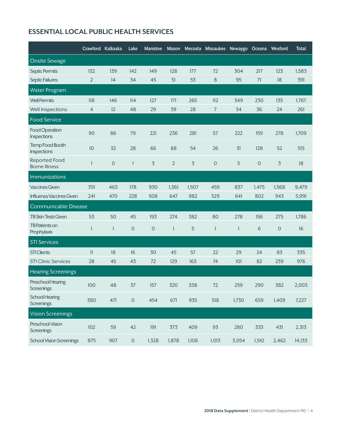#### **ESSENTIAL LOCAL PUBLIC HEALTH SERVICES**

|                                              | Crawford Kalkaska |              | Lake                | <b>Manistee</b> |                |                | Mason Mecosta Missaukee Newaygo Oceana Wexford |              |              |                     | <b>Total</b> |
|----------------------------------------------|-------------------|--------------|---------------------|-----------------|----------------|----------------|------------------------------------------------|--------------|--------------|---------------------|--------------|
| <b>Onsite Sewage</b>                         |                   |              |                     |                 |                |                |                                                |              |              |                     |              |
| Septic Permits                               | 132               | 139          | 142                 | 149             | 128            | 177            | 72                                             | 304          | 217          | 123                 | 1,583        |
| Septic Failures                              | 2                 | 14           | 34                  | 45              | 51             | 53             | 8                                              | 95           | 71           | 18                  | 391          |
| <b>Water Program</b>                         |                   |              |                     |                 |                |                |                                                |              |              |                     |              |
| <b>Well Permits</b>                          | 118               | 146          | 114                 | 127             | 171            | 265            | 112                                            | 349          | 230          | 135                 | 1,767        |
| Well Inspections                             | $\overline{4}$    | 12           | 48                  | 29              | 39             | 28             | $\overline{7}$                                 | 34           | 36           | 24                  | 261          |
| <b>Food Service</b>                          |                   |              |                     |                 |                |                |                                                |              |              |                     |              |
| Food Operation<br>Inspections                | 90                | 86           | 79                  | 221             | 236            | 281            | 57                                             | 222          | 159          | 278                 | 1,709        |
| Temp Food Booth<br>Inspections               | 10                | 32           | 28                  | 66              | 88             | 54             | 26                                             | 31           | 128          | 52                  | 515          |
| <b>Reported Food</b><br><b>Borne Illness</b> | 1                 | $\mathsf O$  | $\mathbf{1}$        | 3               | $\overline{2}$ | $\overline{3}$ | $\mathsf{O}\xspace$                            | 5            | $\mathbf{O}$ | 3                   | 18           |
| <b>Immunizations</b>                         |                   |              |                     |                 |                |                |                                                |              |              |                     |              |
| <b>Vaccines Given</b>                        | 701               | 463          | 178                 | 930             | 1,361          | 1,507          | 459                                            | 837          | 1,475        | 1,568               | 9,479        |
| Influenza Vaccines Given                     | 241               | 470          | 228                 | 508             | 647            | 982            | 529                                            | 641          | 802          | 943                 | 5,991        |
| <b>Communicable Disease</b>                  |                   |              |                     |                 |                |                |                                                |              |              |                     |              |
| <b>TB Skin Tests Given</b>                   | 53                | 50           | 45                  | 193             | 274            | 382            | 80                                             | 278          | 156          | 275                 | 1,786        |
| TB Patients on<br>Prophylaxis                | $\mathbf{1}$      | $\mathbf{1}$ | $\mathbf 0$         | $\overline{O}$  | $\mathbf{1}$   | 5              | $\mathbf{1}$                                   | $\mathbf{1}$ | 6            | $\mathsf{O}\xspace$ | 16           |
| <b>STI Services</b>                          |                   |              |                     |                 |                |                |                                                |              |              |                     |              |
| <b>STI Clients</b>                           | 11                | 18           | 16                  | 30              | 45             | 57             | 22                                             | 29           | 24           | 83                  | 335          |
| <b>STI Clinic Services</b>                   | 28                | 45           | 43                  | 72              | 129            | 163            | 74                                             | 101          | 82           | 239                 | 976          |
| <b>Hearing Screenings</b>                    |                   |              |                     |                 |                |                |                                                |              |              |                     |              |
| Preschool Hearing<br>Screenings              | 100               | 48           | 37                  | 157             | 320            | 338            | 72                                             | 259          | 290          | 382                 | 2,003        |
| School Hearing<br><b>Screenings</b>          | 380               | 471          | $\mathsf{O}\xspace$ | 454             | 671            | 935            | 518                                            | 1,730        | 659          | 1,409               | 7,227        |
| <b>Vision Screenings</b>                     |                   |              |                     |                 |                |                |                                                |              |              |                     |              |
| Preschool Vision<br>Screenings               | 102               | 59           | 42                  | 191             | 373            | 409            | 93                                             | 280          | 333          | 431                 | 2,313        |
| <b>School Vision Screenings</b>              | 875               | 907          | $\mathsf{O}\xspace$ | 1,328           | 1,878          | 1,106          | 1,013                                          | 3,054        | 1,510        | 2,462               | 14,133       |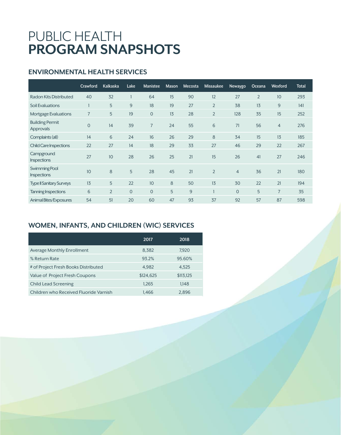### PUBLIC HEALTH **PROGRAM SNAPSHOTS**

#### **ENVIRONMENTAL HEALTH SERVICES**

|                                     | Crawford       | <b>Kalkaska</b> | Lake           | <b>Manistee</b> | Mason | Mecosta | <b>Missaukee</b> | Newaygo        | Oceana         | Wexford        | <b>Total</b> |
|-------------------------------------|----------------|-----------------|----------------|-----------------|-------|---------|------------------|----------------|----------------|----------------|--------------|
| Radon Kits Distributed              | 40             | 32              |                | 64              | 15    | 90      | 12               | 27             | $\overline{2}$ | 10             | 293          |
| <b>Soil Evaluations</b>             |                | 5               | 9              | 18              | 19    | 27      | $\overline{2}$   | 38             | 13             | 9              | 141          |
| Mortgage Evaluations                | $\overline{7}$ | 5               | 19             | $\overline{O}$  | 13    | 28      | $\overline{2}$   | 128            | 35             | 15             | 252          |
| <b>Building Permit</b><br>Approvals | $\Omega$       | 14              | 39             | $\overline{7}$  | 24    | 55      | 6                | 71             | 56             | $\overline{4}$ | 276          |
| Complaints (all)                    | 14             | 6               | 24             | 16              | 26    | 29      | 8                | 34             | 15             | 13             | 185          |
| <b>Child Care Inspections</b>       | 22             | 27              | 14             | 18              | 29    | 33      | 27               | 46             | 29             | 22             | 267          |
| Campground<br><b>Inspections</b>    | 27             | 10              | 28             | 26              | 25    | 21      | 15               | 26             | 41             | 27             | 246          |
| Swimming Pool<br><b>Inspections</b> | 10             | 8               | 5              | 28              | 45    | 21      | $\overline{2}$   | $\overline{4}$ | 36             | 21             | 180          |
| <b>Type II Sanitary Surveys</b>     | 13             | 5               | 22             | 10              | 8     | 50      | 13               | 30             | 22             | 21             | 194          |
| Tanning Inspections                 | 6              | $\overline{2}$  | $\overline{O}$ | $\mathbf{O}$    | 5     | 9       |                  | $\Omega$       | 5              | $\overline{7}$ | 35           |
| Animal Bites/Exposures              | 54             | 51              | 20             | 60              | 47    | 93      | 37               | 92             | 57             | 87             | 598          |

#### **WOMEN, INFANTS, AND CHILDREN (WIC) SERVICES**

|                                        | 2017      | 2018      |
|----------------------------------------|-----------|-----------|
| Average Monthly Enrollment             | 8,382     | 7.920     |
| % Return Rate                          | 93.2%     | 95.60%    |
| # of Project Fresh Books Distributed   | 4,982     | 4,525     |
| Value of Project Fresh Coupons         | \$124,625 | \$113,125 |
| <b>Child Lead Screening</b>            | 1.265     | 1,148     |
| Children who Received Fluoride Varnish | 1.466     | 2,896     |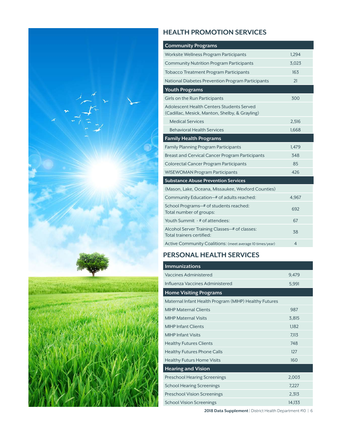

#### **HEALTH PROMOTION SERVICES**

| <b>Community Programs</b>                                                                   |       |
|---------------------------------------------------------------------------------------------|-------|
| Worksite Wellness Program Participants                                                      | 1,294 |
| <b>Community Nutrition Program Participants</b>                                             | 3,023 |
| Tobacco Treatment Program Participants                                                      | 163   |
| National Diabetes Prevention Program Participants                                           | 21    |
| <b>Youth Programs</b>                                                                       |       |
| Girls on the Run Participants                                                               | 300   |
| Adolescent Health Centers Students Served<br>(Cadillac, Mesick, Manton, Shelby, & Grayling) |       |
| <b>Medical Services</b>                                                                     | 2,516 |
| <b>Behavioral Health Services</b>                                                           | 1,668 |
| <b>Family Health Programs</b>                                                               |       |
| <b>Family Planning Program Participants</b>                                                 | 1,479 |
| <b>Breast and Cervical Cancer Program Participants</b>                                      | 348   |
| Colorectal Cancer Program Participants                                                      | 85    |
| <b>WISEWOMAN Program Participants</b>                                                       | 426   |
| <b>Substance Abuse Prevention Services</b>                                                  |       |
| (Mason, Lake, Oceana, Missaukee, Wexford Counties)                                          |       |
| Community Education-# of adults reached:                                                    | 4,967 |
| School Programs-# of students reached:<br>Total number of groups:                           | 692   |
| Youth Summit - # of attendees:                                                              | 67    |
| Alcohol Server Training Classes-# of classes:<br>Total trainers certified:                  | 38    |
| Active Community Coalitions: (meet average 10 times/year)                                   | 4     |

#### **PERSONAL HEALTH SERVICES**

| <b>Immunizations</b>                                  |        |
|-------------------------------------------------------|--------|
| Vaccines Administered                                 | 9,479  |
| Influenza Vaccines Administered                       | 5,991  |
| <b>Home Visiting Programs</b>                         |        |
| Maternal Infant Health Program (MIHP) Healthy Futures |        |
| <b>MIHP Maternal Clients</b>                          | 987    |
| <b>MIHP Maternal Visits</b>                           | 3,815  |
| <b>MIHP Infant Clients</b>                            | 1,182  |
| <b>MIHP Infant Visits</b>                             | 7,113  |
| <b>Healthy Futures Clients</b>                        | 748    |
| <b>Healthy Futures Phone Calls</b>                    | 127    |
| <b>Healthy Futurs Home Visits</b>                     | 160    |
| <b>Hearing and Vision</b>                             |        |
| <b>Preschool Hearing Screenings</b>                   | 2,003  |
| <b>School Hearing Screenings</b>                      | 7,227  |
| <b>Preschool Vision Screenings</b>                    | 2,313  |
| <b>School Vision Screenings</b>                       | 14,133 |

**2018 Data Supplement** | District Health Department #10 | 6